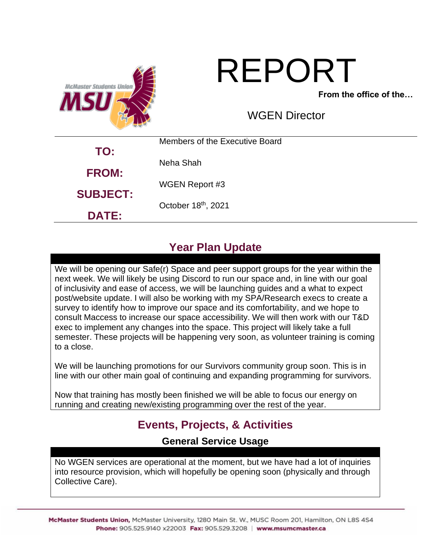

# REPORT

**From the office of the…**

WGEN Director

| TO:             | Members of the Executive Board |
|-----------------|--------------------------------|
|                 | Neha Shah                      |
| <b>FROM:</b>    | <b>WGEN Report #3</b>          |
| <b>SUBJECT:</b> | October 18th, 2021             |
| <b>DATE:</b>    |                                |

# **Year Plan Update**

We will be opening our Safe(r) Space and peer support groups for the year within the next week. We will likely be using Discord to run our space and, in line with our goal of inclusivity and ease of access, we will be launching guides and a what to expect post/website update. I will also be working with my SPA/Research execs to create a survey to identify how to improve our space and its comfortability, and we hope to consult Maccess to increase our space accessibility. We will then work with our T&D exec to implement any changes into the space. This project will likely take a full semester. These projects will be happening very soon, as volunteer training is coming to a close.

We will be launching promotions for our Survivors community group soon. This is in line with our other main goal of continuing and expanding programming for survivors.

Now that training has mostly been finished we will be able to focus our energy on running and creating new/existing programming over the rest of the year.

# **Events, Projects, & Activities**

**General Service Usage**

No WGEN services are operational at the moment, but we have had a lot of inquiries into resource provision, which will hopefully be opening soon (physically and through Collective Care).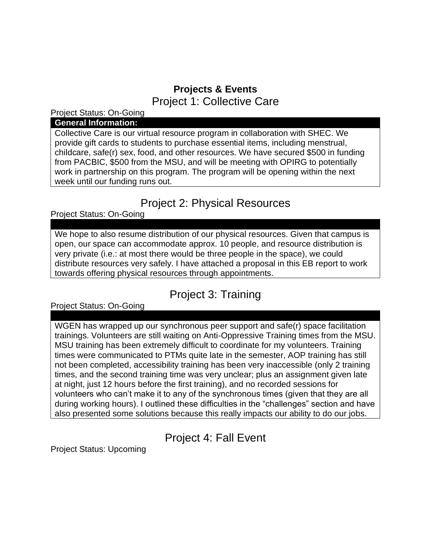## **Projects & Events** Project 1: Collective Care

Project Status: On-Going

#### **General Information:**

Collective Care is our virtual resource program in collaboration with SHEC. We provide gift cards to students to purchase essential items, including menstrual, childcare, safe(r) sex, food, and other resources. We have secured \$500 in funding from PACBIC, \$500 from the MSU, and will be meeting with OPIRG to potentially work in partnership on this program. The program will be opening within the next week until our funding runs out.

## Project 2: Physical Resources

Project Status: On-Going

We hope to also resume distribution of our physical resources. Given that campus is open, our space can accommodate approx. 10 people, and resource distribution is very private (i.e.: at most there would be three people in the space), we could distribute resources very safely. I have attached a proposal in this EB report to work towards offering physical resources through appointments.

# Project 3: Training

Project Status: On-Going

WGEN has wrapped up our synchronous peer support and safe(r) space facilitation trainings. Volunteers are still waiting on Anti-Oppressive Training times from the MSU. MSU training has been extremely difficult to coordinate for my volunteers. Training times were communicated to PTMs quite late in the semester, AOP training has still not been completed, accessibility training has been very inaccessible (only 2 training times, and the second training time was very unclear; plus an assignment given late at night, just 12 hours before the first training), and no recorded sessions for volunteers who can't make it to any of the synchronous times (given that they are all during working hours). I outlined these difficulties in the "challenges" section and have also presented some solutions because this really impacts our ability to do our jobs.

# Project 4: Fall Event

Project Status: Upcoming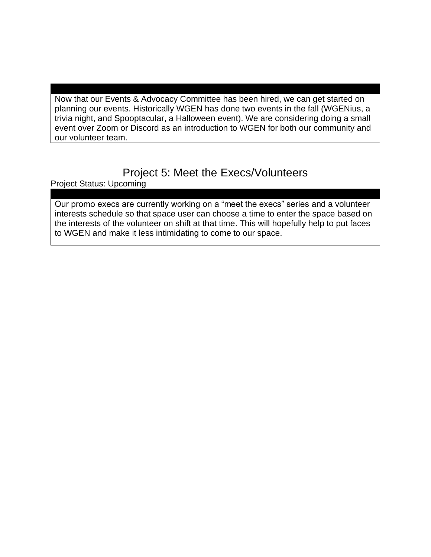Now that our Events & Advocacy Committee has been hired, we can get started on planning our events. Historically WGEN has done two events in the fall (WGENius, a trivia night, and Spooptacular, a Halloween event). We are considering doing a small event over Zoom or Discord as an introduction to WGEN for both our community and our volunteer team.

# Project 5: Meet the Execs/Volunteers

Project Status: Upcoming

Our promo execs are currently working on a "meet the execs" series and a volunteer interests schedule so that space user can choose a time to enter the space based on the interests of the volunteer on shift at that time. This will hopefully help to put faces to WGEN and make it less intimidating to come to our space.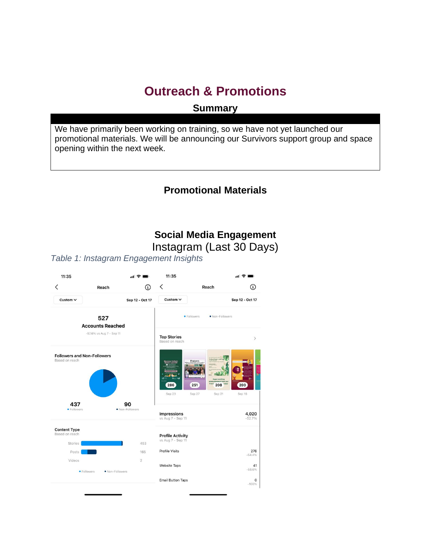# **Outreach & Promotions**

**Summary**

We have primarily been working on training, so we have not yet launched our promotional materials. We will be announcing our Survivors support group and space opening within the next week.

### **Promotional Materials**

# **Social Media Engagement**

Instagram (Last 30 Days)

*Table 1: Instagram Engagement Insights*

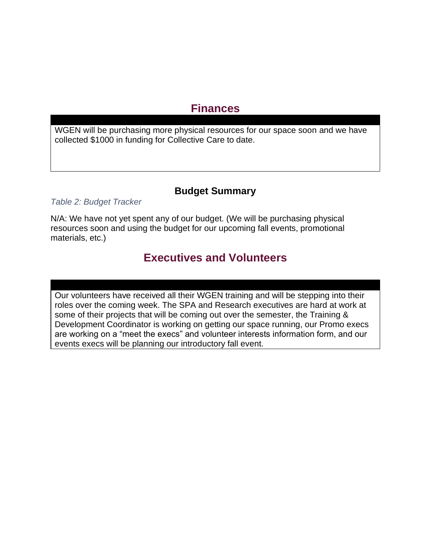## **Finances**

WGEN will be purchasing more physical resources for our space soon and we have collected \$1000 in funding for Collective Care to date.

#### **Budget Summary**

*Table 2: Budget Tracker*

N/A: We have not yet spent any of our budget. (We will be purchasing physical resources soon and using the budget for our upcoming fall events, promotional materials, etc.)

## **Executives and Volunteers**

Our volunteers have received all their WGEN training and will be stepping into their roles over the coming week. The SPA and Research executives are hard at work at some of their projects that will be coming out over the semester, the Training & Development Coordinator is working on getting our space running, our Promo execs are working on a "meet the execs" and volunteer interests information form, and our events execs will be planning our introductory fall event.